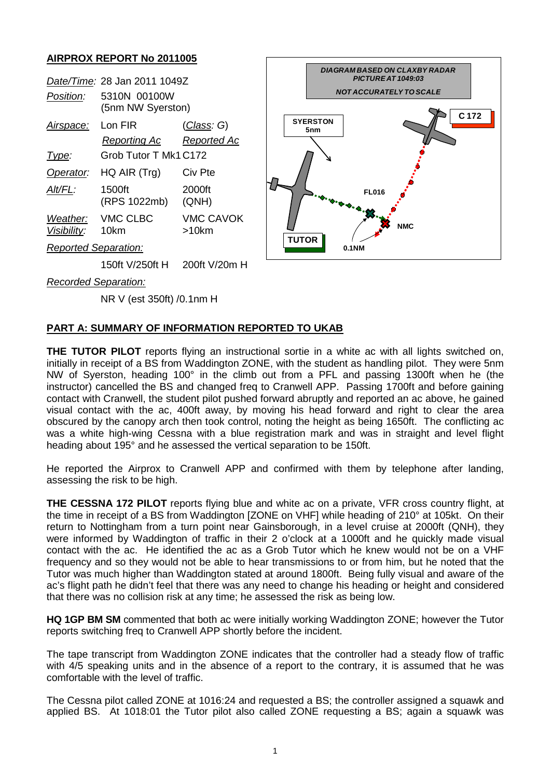## **AIRPROX REPORT No 2011005**

| <i>Position:</i>     | Date/Time: 28 Jan 2011 1049Z<br>5310N 00100W<br>(5nm NW Syerston) |                           |
|----------------------|-------------------------------------------------------------------|---------------------------|
| Airspace:            | l on FIR                                                          | <u>(Class</u> : G)        |
|                      | Reporting Ac                                                      | Reported Ac               |
| Type:                | Grob Tutor T Mk1 C172                                             |                           |
| Operator:            | $HQ$ AIR $(Trg)$                                                  | Civ Pte                   |
| Alt/FL:              | 1500ft<br>(RPS 1022mb)                                            | 2000ft<br>(QNH)           |
| Visibility:          | Weather: VMC CLBC<br>10km                                         | <b>VMC CAVOK</b><br>>10km |
| Reported Separation: |                                                                   |                           |
|                      | 150ft V/250ft H                                                   | 200ft V/20m H             |



*Recorded Separation:*

NR V (est 350ft) /0.1nm H

## **PART A: SUMMARY OF INFORMATION REPORTED TO UKAB**

**THE TUTOR PILOT** reports flying an instructional sortie in a white ac with all lights switched on, initially in receipt of a BS from Waddington ZONE, with the student as handling pilot. They were 5nm NW of Syerston, heading 100° in the climb out from a PFL and passing 1300ft when he (the instructor) cancelled the BS and changed freq to Cranwell APP. Passing 1700ft and before gaining contact with Cranwell, the student pilot pushed forward abruptly and reported an ac above, he gained visual contact with the ac, 400ft away, by moving his head forward and right to clear the area obscured by the canopy arch then took control, noting the height as being 1650ft. The conflicting ac was a white high-wing Cessna with a blue registration mark and was in straight and level flight heading about 195° and he assessed the vertical separation to be 150ft.

He reported the Airprox to Cranwell APP and confirmed with them by telephone after landing, assessing the risk to be high.

**THE CESSNA 172 PILOT** reports flying blue and white ac on a private, VFR cross country flight, at the time in receipt of a BS from Waddington [ZONE on VHF] while heading of 210° at 105kt. On their return to Nottingham from a turn point near Gainsborough, in a level cruise at 2000ft (QNH), they were informed by Waddington of traffic in their 2 o'clock at a 1000ft and he quickly made visual contact with the ac. He identified the ac as a Grob Tutor which he knew would not be on a VHF frequency and so they would not be able to hear transmissions to or from him, but he noted that the Tutor was much higher than Waddington stated at around 1800ft. Being fully visual and aware of the ac's flight path he didn't feel that there was any need to change his heading or height and considered that there was no collision risk at any time; he assessed the risk as being low.

**HQ 1GP BM SM** commented that both ac were initially working Waddington ZONE; however the Tutor reports switching freq to Cranwell APP shortly before the incident.

The tape transcript from Waddington ZONE indicates that the controller had a steady flow of traffic with 4/5 speaking units and in the absence of a report to the contrary, it is assumed that he was comfortable with the level of traffic.

The Cessna pilot called ZONE at 1016:24 and requested a BS; the controller assigned a squawk and applied BS. At 1018:01 the Tutor pilot also called ZONE requesting a BS; again a squawk was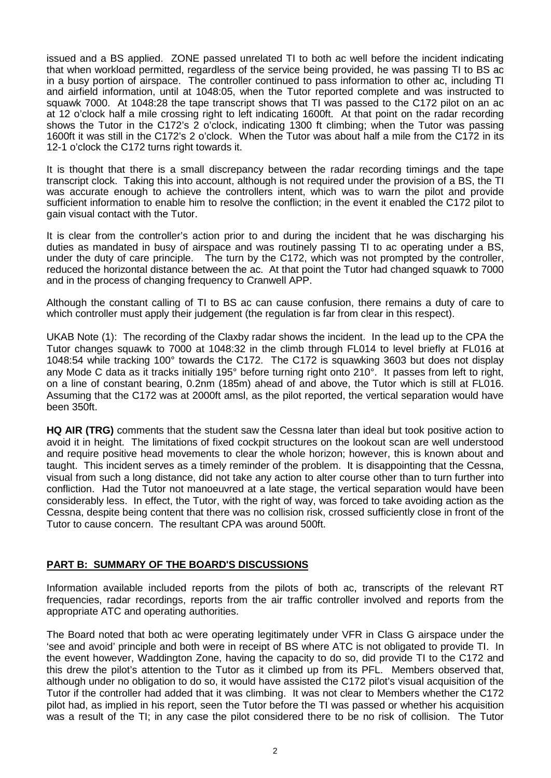issued and a BS applied. ZONE passed unrelated TI to both ac well before the incident indicating that when workload permitted, regardless of the service being provided, he was passing TI to BS ac in a busy portion of airspace. The controller continued to pass information to other ac, including TI and airfield information, until at 1048:05, when the Tutor reported complete and was instructed to squawk 7000. At 1048:28 the tape transcript shows that TI was passed to the C172 pilot on an ac at 12 o'clock half a mile crossing right to left indicating 1600ft. At that point on the radar recording shows the Tutor in the C172's 2 o'clock, indicating 1300 ft climbing; when the Tutor was passing 1600ft it was still in the C172's 2 o'clock. When the Tutor was about half a mile from the C172 in its 12-1 o'clock the C172 turns right towards it.

It is thought that there is a small discrepancy between the radar recording timings and the tape transcript clock. Taking this into account, although is not required under the provision of a BS, the TI was accurate enough to achieve the controllers intent, which was to warn the pilot and provide sufficient information to enable him to resolve the confliction; in the event it enabled the C172 pilot to gain visual contact with the Tutor.

It is clear from the controller's action prior to and during the incident that he was discharging his duties as mandated in busy of airspace and was routinely passing TI to ac operating under a BS, under the duty of care principle. The turn by the C172, which was not prompted by the controller, reduced the horizontal distance between the ac. At that point the Tutor had changed squawk to 7000 and in the process of changing frequency to Cranwell APP.

Although the constant calling of TI to BS ac can cause confusion, there remains a duty of care to which controller must apply their judgement (the regulation is far from clear in this respect).

UKAB Note (1): The recording of the Claxby radar shows the incident. In the lead up to the CPA the Tutor changes squawk to 7000 at 1048:32 in the climb through FL014 to level briefly at FL016 at 1048:54 while tracking 100° towards the C172. The C172 is squawking 3603 but does not display any Mode C data as it tracks initially 195° before turning right onto 210°. It passes from left to right, on a line of constant bearing, 0.2nm (185m) ahead of and above, the Tutor which is still at FL016. Assuming that the C172 was at 2000ft amsl, as the pilot reported, the vertical separation would have been 350ft.

**HQ AIR (TRG)** comments that the student saw the Cessna later than ideal but took positive action to avoid it in height. The limitations of fixed cockpit structures on the lookout scan are well understood and require positive head movements to clear the whole horizon; however, this is known about and taught. This incident serves as a timely reminder of the problem. It is disappointing that the Cessna, visual from such a long distance, did not take any action to alter course other than to turn further into confliction. Had the Tutor not manoeuvred at a late stage, the vertical separation would have been considerably less. In effect, the Tutor, with the right of way, was forced to take avoiding action as the Cessna, despite being content that there was no collision risk, crossed sufficiently close in front of the Tutor to cause concern. The resultant CPA was around 500ft.

## **PART B: SUMMARY OF THE BOARD'S DISCUSSIONS**

Information available included reports from the pilots of both ac, transcripts of the relevant RT frequencies, radar recordings, reports from the air traffic controller involved and reports from the appropriate ATC and operating authorities.

The Board noted that both ac were operating legitimately under VFR in Class G airspace under the 'see and avoid' principle and both were in receipt of BS where ATC is not obligated to provide TI. In the event however, Waddington Zone, having the capacity to do so, did provide TI to the C172 and this drew the pilot's attention to the Tutor as it climbed up from its PFL. Members observed that, although under no obligation to do so, it would have assisted the C172 pilot's visual acquisition of the Tutor if the controller had added that it was climbing. It was not clear to Members whether the C172 pilot had, as implied in his report, seen the Tutor before the TI was passed or whether his acquisition was a result of the TI; in any case the pilot considered there to be no risk of collision. The Tutor